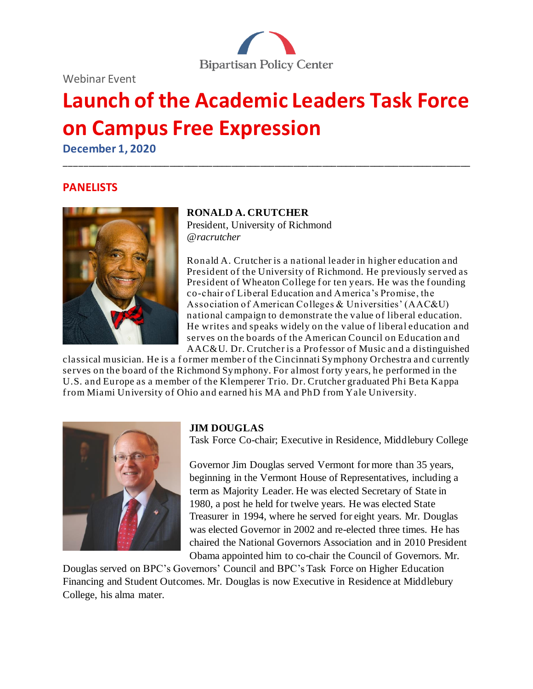Webinar Event



# **Launch of the Academic Leaders Task Force on Campus Free Expression**

\_\_\_\_\_\_\_\_\_\_\_\_\_\_\_\_\_\_\_\_\_\_\_\_\_\_\_\_\_\_\_\_\_\_\_\_\_\_\_\_\_\_\_\_\_\_\_\_\_\_\_\_\_\_\_\_\_\_\_\_\_\_\_\_\_\_\_\_\_\_\_\_\_\_\_\_\_\_\_\_\_\_\_\_\_

**December 1, 2020**

## **PANELISTS**



## **RONALD A. CRUTCHER**

President, University of Richmond *@racrutcher*

Ronald A. Crutcher is a national leader in higher education and President of the University of Richmond. He previously served as President of Wheaton College for ten years. He was the founding co-chair of Liberal Education and America's Promise, the Association of American Colleges & Universities' (AAC&U) national campaign to demonstrate the value of liberal education. He writes and speaks widely on the value of liberal education and serves on the boards of the American Council on Education and AAC&U. Dr. Crutcher is a Professor of Music and a distinguished

classical musician. He is a f ormer member of the Cincinnati Symphony Orchestra and currently serves on the board of the Richmond Symphony. For almost forty years, he performed in the U.S. and Europe as a member of the Klemperer Trio. Dr. Crutcher graduated Phi Beta Kappa f rom Miami University of Ohio and earned his MA and PhD f rom Yale University.



## **JIM DOUGLAS**

Task Force Co-chair; Executive in Residence, Middlebury College

Governor Jim Douglas served Vermont for more than 35 years, beginning in the Vermont House of Representatives, including a term as Majority Leader. He was elected Secretary of State in 1980, a post he held for twelve years. He was elected State Treasurer in 1994, where he served for eight years. Mr. Douglas was elected Governor in 2002 and re-elected three times. He has chaired the National Governors Association and in 2010 President Obama appointed him to co-chair the Council of Governors. Mr.

Douglas served on BPC's Governors' Council and BPC's Task Force on Higher Education Financing and Student Outcomes. Mr. Douglas is now Executive in Residence at Middlebury College, his alma mater.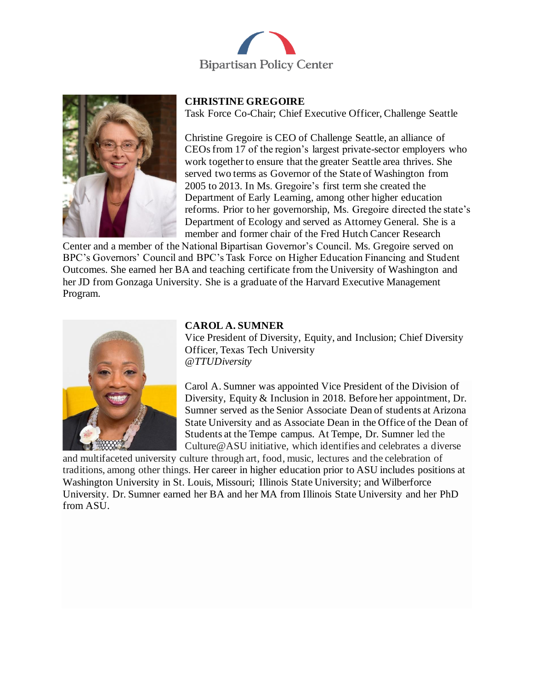



#### **CHRISTINE GREGOIRE**

Task Force Co-Chair; Chief Executive Officer, Challenge Seattle

Christine Gregoire is CEO of Challenge Seattle, an alliance of CEOs from 17 of the region's largest private-sector employers who work together to ensure that the greater Seattle area thrives. She served two terms as Governor of the State of Washington from 2005 to 2013. In Ms. Gregoire's first term she created the Department of Early Learning, among other higher education reforms. Prior to her governorship, Ms. Gregoire directed the state's Department of Ecology and served as Attorney General. She is a member and former chair of the Fred Hutch Cancer Research

Center and a member of the National Bipartisan Governor's Council. Ms. Gregoire served on BPC's Governors' Council and BPC's Task Force on Higher Education Financing and Student Outcomes. She earned her BA and teaching certificate from the University of Washington and her JD from Gonzaga University. She is a graduate of the Harvard Executive Management Program.



#### **CAROL A. SUMNER**

Vice President of Diversity, Equity, and Inclusion; Chief Diversity Officer, Texas Tech University *@TTUDiversity*

Carol A. Sumner was appointed Vice President of the Division of Diversity, Equity & Inclusion in 2018. Before her appointment, Dr. Sumner served as the Senior Associate Dean of students at Arizona State University and as Associate Dean in the Office of the Dean of Students at the Tempe campus. At Tempe, Dr. Sumner led the Culture@ASU initiative, which identifies and celebrates a diverse

and multifaceted university culture through art, food, music, lectures and the celebration of traditions, among other things. Her career in higher education prior to ASU includes positions at Washington University in St. Louis, Missouri; Illinois State University; and Wilberforce University. Dr. Sumner earned her BA and her MA from Illinois State University and her PhD from ASU.